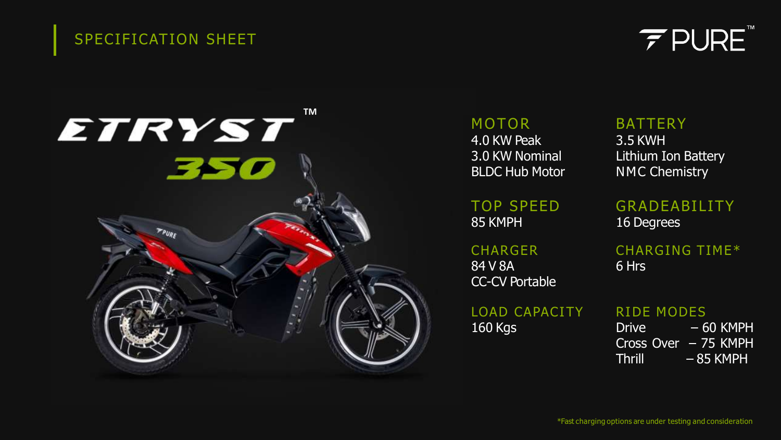# SPECIFICATION SHEET





MOTOR 4.0 KW Peak 3.0 KW Nominal BLDC Hub Motor

**BATTERY** 3.5 KWH Lithium Ion Battery NMC Chemistry

TOP SPEED 85 KMPH

**CHARGER** 84 V 8A CC-CV Portable

LOAD CAPACITY 160 Kgs

GRADEABILITY 16 Degrees

CHARGING TIME\* 6 Hrs

RIDE MODES

Drive – 60 KMPH Cross Over – 75 KMPH Thrill – 85 KMPH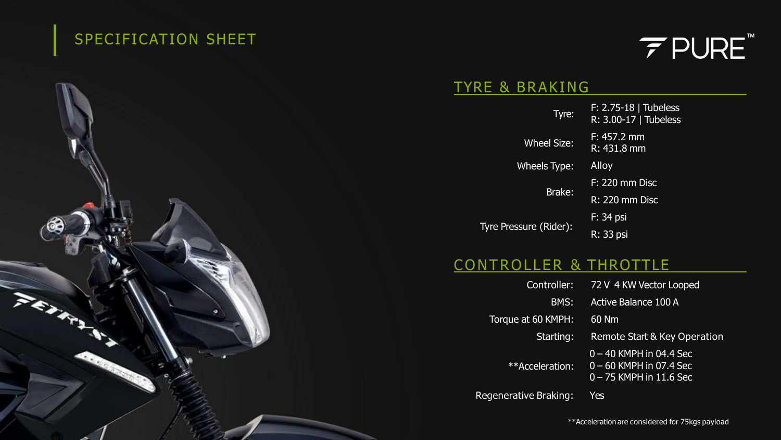# SPECIFICATION SHEET

**PEAK** 



#### TYRE & BRAKING

| Tyre:                  | $F: 2.75 - 18$   Tubeless<br>R: 3.00-17   Tubeless |
|------------------------|----------------------------------------------------|
| <b>Wheel Size:</b>     | $F: 457.2$ mm<br>R: 431.8 mm                       |
| Wheels Type:           | Alloy                                              |
| Brake:                 | $F: 220$ mm Disc                                   |
|                        | <b>R: 220 mm Disc</b>                              |
| Tyre Pressure (Rider): | F: 34 psi                                          |
|                        | R: 33 psi                                          |
|                        |                                                    |

# CONTROLLER & THROTTLE

| Controller:        | 72 V 4 KW Vector Looped                                                             |
|--------------------|-------------------------------------------------------------------------------------|
| BMS:               | <b>Active Balance 100 A</b>                                                         |
| Torque at 60 KMPH: | 60 Nm                                                                               |
| Starting:          | Remote Start & Key Operation                                                        |
| **Acceleration:    | $0 - 40$ KMPH in 04.4 Sec<br>$0 - 60$ KMPH in 07.4 Sec<br>$0 - 75$ KMPH in 11.6 Sec |

Regenerative Braking: Yes

\*\*Acceleration are considered for 75kgs payload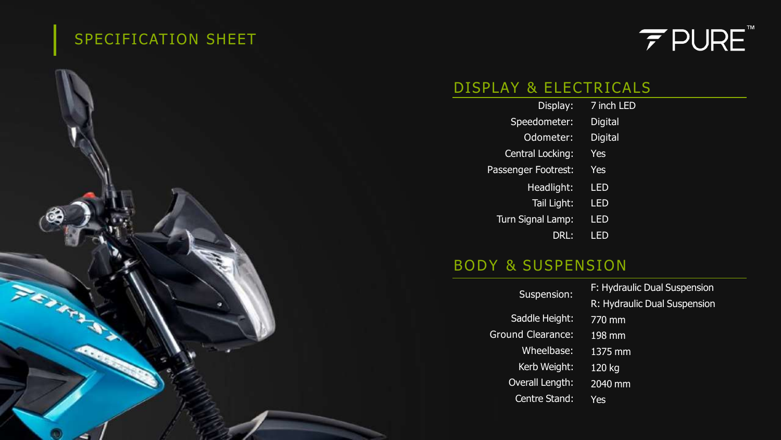# SPECIFICATION SHEET

**CANAL** 

**RO** 

# $\mathcal{F}$  PURE

### DISPLAY & ELECTRICALS

| Display:            | 7 inch LED     |
|---------------------|----------------|
| Speedometer:        | <b>Digital</b> |
| Odometer:           | <b>Digital</b> |
| Central Locking:    | <b>Yes</b>     |
| Passenger Footrest: | <b>Yes</b>     |
| Headlight:          | LED            |
| Tail Light:         | LED            |
| Turn Signal Lamp:   | LED            |
| DRL:                | LEI            |

#### BODY & SUSPENSION

| Suspension:              | F: Hydraulic Dual Suspension |
|--------------------------|------------------------------|
|                          | R: Hydraulic Dual Suspension |
| Saddle Height:           | 770 mm                       |
| <b>Ground Clearance:</b> | $198$ mm                     |
| Wheelbase:               | 1375 mm                      |
| Kerb Weight:             | 120 kg                       |
| <b>Overall Length:</b>   | 2040 mm                      |
| <b>Centre Stand:</b>     | Yes                          |